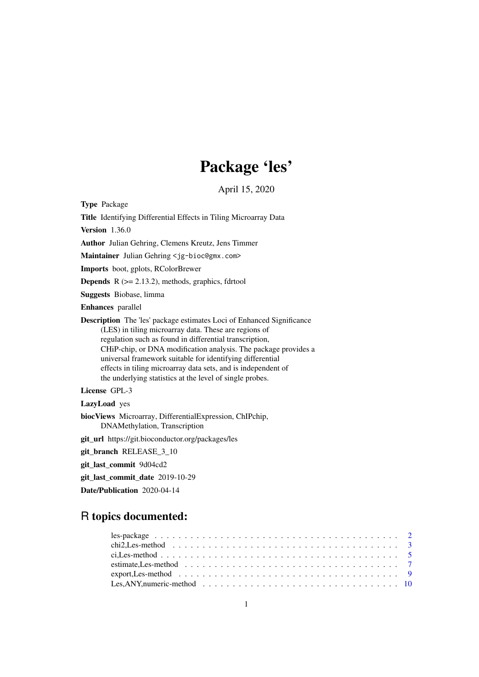# Package 'les'

# April 15, 2020

<span id="page-0-0"></span>Type Package

Title Identifying Differential Effects in Tiling Microarray Data

Version 1.36.0

Author Julian Gehring, Clemens Kreutz, Jens Timmer

Maintainer Julian Gehring <jg-bioc@gmx.com>

Imports boot, gplots, RColorBrewer

**Depends**  $R$  ( $>= 2.13.2$ ), methods, graphics, fdrtool

Suggests Biobase, limma

Enhances parallel

Description The 'les' package estimates Loci of Enhanced Significance (LES) in tiling microarray data. These are regions of regulation such as found in differential transcription, CHiP-chip, or DNA modification analysis. The package provides a universal framework suitable for identifying differential effects in tiling microarray data sets, and is independent of the underlying statistics at the level of single probes.

License GPL-3

LazyLoad yes

biocViews Microarray, DifferentialExpression, ChIPchip, DNAMethylation, Transcription

git\_url https://git.bioconductor.org/packages/les

git\_branch RELEASE\_3\_10

git\_last\_commit 9d04cd2

git\_last\_commit\_date 2019-10-29

Date/Publication 2020-04-14

# R topics documented: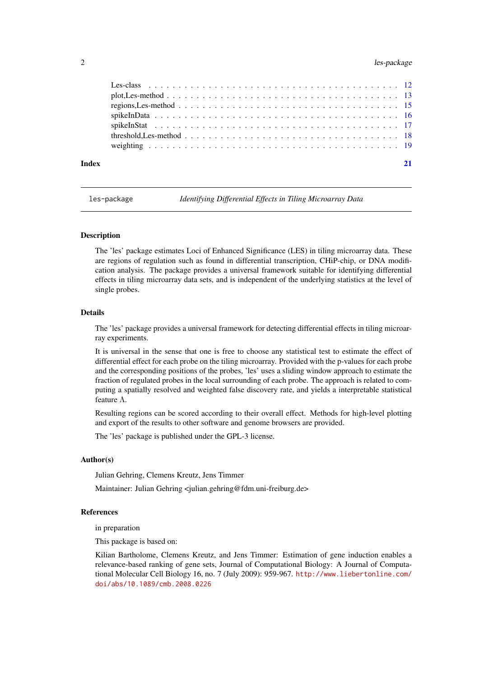# <span id="page-1-0"></span>2 les-package and the state of the state of the state of the state of the state of the state of the state of the state of the state of the state of the state of the state of the state of the state of the state of the state

| Index | 21 |
|-------|----|

<span id="page-1-1"></span>les-package *Identifying Differential Effects in Tiling Microarray Data*

# Description

The 'les' package estimates Loci of Enhanced Significance (LES) in tiling microarray data. These are regions of regulation such as found in differential transcription, CHiP-chip, or DNA modification analysis. The package provides a universal framework suitable for identifying differential effects in tiling microarray data sets, and is independent of the underlying statistics at the level of single probes.

# Details

The 'les' package provides a universal framework for detecting differential effects in tiling microarray experiments.

It is universal in the sense that one is free to choose any statistical test to estimate the effect of differential effect for each probe on the tiling microarray. Provided with the p-values for each probe and the corresponding positions of the probes, 'les' uses a sliding window approach to estimate the fraction of regulated probes in the local surrounding of each probe. The approach is related to computing a spatially resolved and weighted false discovery rate, and yields a interpretable statistical feature Λ.

Resulting regions can be scored according to their overall effect. Methods for high-level plotting and export of the results to other software and genome browsers are provided.

The 'les' package is published under the GPL-3 license.

#### Author(s)

Julian Gehring, Clemens Kreutz, Jens Timmer

Maintainer: Julian Gehring <julian.gehring@fdm.uni-freiburg.de>

## References

in preparation

This package is based on:

Kilian Bartholome, Clemens Kreutz, and Jens Timmer: Estimation of gene induction enables a relevance-based ranking of gene sets, Journal of Computational Biology: A Journal of Computational Molecular Cell Biology 16, no. 7 (July 2009): 959-967. [http://www.liebertonline.com/](http://www.liebertonline.com/doi/abs/10.1089/cmb.2008.0226) [doi/abs/10.1089/cmb.2008.0226](http://www.liebertonline.com/doi/abs/10.1089/cmb.2008.0226)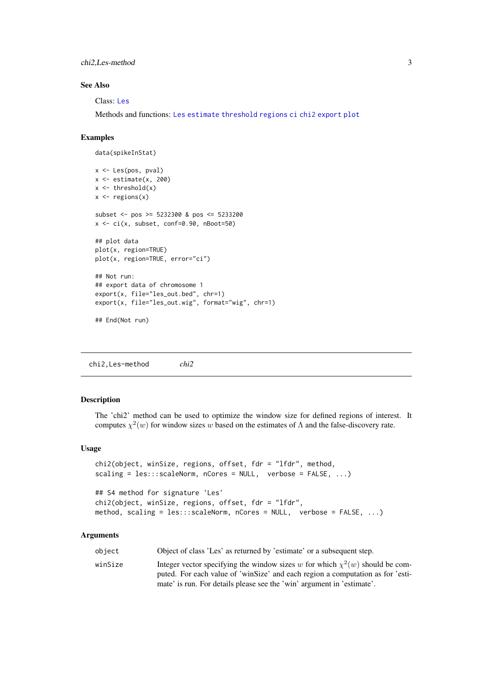<span id="page-2-0"></span>chi2,Les-method 3

#### See Also

Class: [Les](#page-11-1)

Methods and functions: [Les](#page-9-1) [estimate](#page-6-1) [threshold](#page-17-1) [regions](#page-14-1) [ci](#page-4-1) [chi2](#page-2-1) [export](#page-8-1) [plot](#page-12-1)

# Examples

```
data(spikeInStat)
x <- Les(pos, pval)
x \leftarrow \text{estimate}(x, 200)x \leftarrow threshold(x)x \leftarrow regions(x)
subset <- pos >= 5232300 & pos <= 5233200
x <- ci(x, subset, conf=0.90, nBoot=50)
## plot data
plot(x, region=TRUE)
plot(x, region=TRUE, error="ci")
## Not run:
## export data of chromosome 1
export(x, file="les_out.bed", chr=1)
export(x, file="les_out.wig", format="wig", chr=1)
## End(Not run)
```
chi2,Les-method *chi2*

# <span id="page-2-1"></span>Description

The 'chi2' method can be used to optimize the window size for defined regions of interest. It computes  $\chi^2(w)$  for window sizes w based on the estimates of  $\Lambda$  and the false-discovery rate.

#### Usage

```
chi2(object, winSize, regions, offset, fdr = "lfdr", method,
scaling = les:::scaleNorm, nCores = NULL, verbose = FALSE, ...)
## S4 method for signature 'Les'
chi2(object, winSize, regions, offset, fdr = "lfdr",
method, scaling = les:::scaleNorm, nCores = NULL, verbose = FALSE, ...)
```

| obiect  | Object of class 'Les' as returned by 'estimate' or a subsequent step.                                                                                               |
|---------|---------------------------------------------------------------------------------------------------------------------------------------------------------------------|
| winSize | Integer vector specifying the window sizes w for which $\chi^2(w)$ should be com-<br>puted. For each value of 'winSize' and each region a computation as for 'esti- |
|         | mate' is run. For details please see the 'win' argument in 'estimate'.                                                                                              |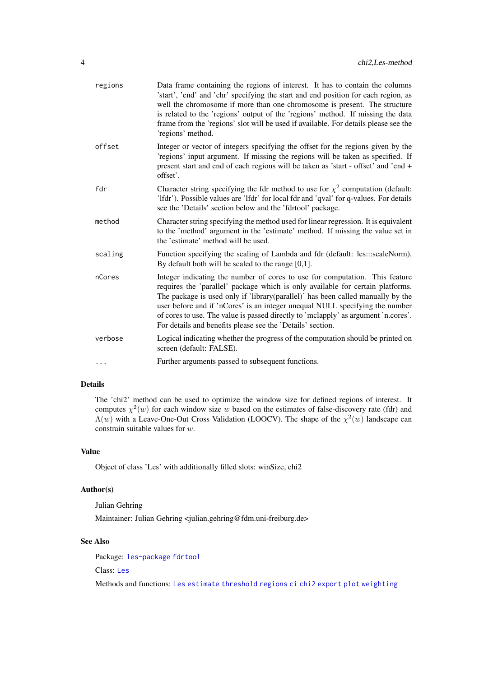<span id="page-3-0"></span>

| regions | Data frame containing the regions of interest. It has to contain the columns<br>'start', 'end' and 'chr' specifying the start and end position for each region, as<br>well the chromosome if more than one chromosome is present. The structure<br>is related to the 'regions' output of the 'regions' method. If missing the data<br>frame from the 'regions' slot will be used if available. For details please see the<br>'regions' method.                                       |
|---------|--------------------------------------------------------------------------------------------------------------------------------------------------------------------------------------------------------------------------------------------------------------------------------------------------------------------------------------------------------------------------------------------------------------------------------------------------------------------------------------|
| offset  | Integer or vector of integers specifying the offset for the regions given by the<br>'regions' input argument. If missing the regions will be taken as specified. If<br>present start and end of each regions will be taken as 'start - offset' and 'end +<br>offset'.                                                                                                                                                                                                                |
| fdr     | Character string specifying the fdr method to use for $\chi^2$ computation (default:<br>'Ifdr'). Possible values are 'Ifdr' for local fdr and 'qval' for q-values. For details<br>see the 'Details' section below and the 'fdrtool' package.                                                                                                                                                                                                                                         |
| method  | Character string specifying the method used for linear regression. It is equivalent<br>to the 'method' argument in the 'estimate' method. If missing the value set in<br>the 'estimate' method will be used.                                                                                                                                                                                                                                                                         |
| scaling | Function specifying the scaling of Lambda and fdr (default: les:::scaleNorm).<br>By default both will be scaled to the range $[0,1]$ .                                                                                                                                                                                                                                                                                                                                               |
| nCores  | Integer indicating the number of cores to use for computation. This feature<br>requires the 'parallel' package which is only available for certain platforms.<br>The package is used only if 'library(parallel)' has been called manually by the<br>user before and if 'nCores' is an integer unequal NULL specifying the number<br>of cores to use. The value is passed directly to 'mclapply' as argument 'n.cores'.<br>For details and benefits please see the 'Details' section. |
| verbose | Logical indicating whether the progress of the computation should be printed on<br>screen (default: FALSE).                                                                                                                                                                                                                                                                                                                                                                          |
|         | Further arguments passed to subsequent functions.                                                                                                                                                                                                                                                                                                                                                                                                                                    |

The 'chi2' method can be used to optimize the window size for defined regions of interest. It computes  $\chi^2(w)$  for each window size w based on the estimates of false-discovery rate (fdr) and  $\Lambda(w)$  with a Leave-One-Out Cross Validation (LOOCV). The shape of the  $\chi^2(w)$  landscape can constrain suitable values for w.

# Value

Object of class 'Les' with additionally filled slots: winSize, chi2

# Author(s)

Julian Gehring

Maintainer: Julian Gehring <julian.gehring@fdm.uni-freiburg.de>

# See Also

Package: [les-package](#page-1-1) [fdrtool](#page-0-0)

Class: [Les](#page-11-1)

Methods and functions: [Les](#page-9-1) [estimate](#page-6-1) [threshold](#page-17-1) [regions](#page-14-1) [ci](#page-4-1) [chi2](#page-2-1) [export](#page-8-1) [plot](#page-12-1) [weighting](#page-18-1)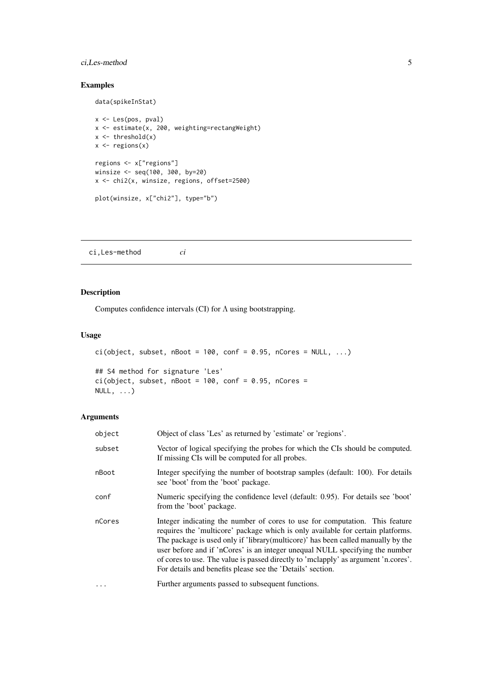# <span id="page-4-0"></span>ci,Les-method 5

# Examples

data(spikeInStat)

```
x <- Les(pos, pval)
x <- estimate(x, 200, weighting=rectangWeight)
x \leftarrow threshold(x)x \leftarrow regions(x)
regions <- x["regions"]
winsize <- seq(100, 300, by=20)
x <- chi2(x, winsize, regions, offset=2500)
plot(winsize, x["chi2"], type="b")
```
ci,Les-method *ci*

# <span id="page-4-1"></span>Description

Computes confidence intervals (CI) for  $\Lambda$  using bootstrapping.

# Usage

```
ci(object, subset, nBoot = 100, conf = 0.95, nCores = NULL, ...)## S4 method for signature 'Les'
ci(object, subset, nBoot = 100, conf = 0.95, nCores =
NULL, \ldots)
```

| object   | Object of class 'Les' as returned by 'estimate' or 'regions'.                                                                                                                                                                                                                                                                                                                                                                                                                          |
|----------|----------------------------------------------------------------------------------------------------------------------------------------------------------------------------------------------------------------------------------------------------------------------------------------------------------------------------------------------------------------------------------------------------------------------------------------------------------------------------------------|
| subset   | Vector of logical specifying the probes for which the CIs should be computed.<br>If missing CIs will be computed for all probes.                                                                                                                                                                                                                                                                                                                                                       |
| nBoot    | Integer specifying the number of bootstrap samples (default: 100). For details<br>see 'boot' from the 'boot' package.                                                                                                                                                                                                                                                                                                                                                                  |
| conf     | Numeric specifying the confidence level (default: 0.95). For details see 'boot'<br>from the 'boot' package.                                                                                                                                                                                                                                                                                                                                                                            |
| nCores   | Integer indicating the number of cores to use for computation. This feature<br>requires the 'multicore' package which is only available for certain platforms.<br>The package is used only if 'library(multicore)' has been called manually by the<br>user before and if 'nCores' is an integer unequal NULL specifying the number<br>of cores to use. The value is passed directly to 'mclapply' as argument 'n.cores'.<br>For details and benefits please see the 'Details' section. |
| $\cdots$ | Further arguments passed to subsequent functions.                                                                                                                                                                                                                                                                                                                                                                                                                                      |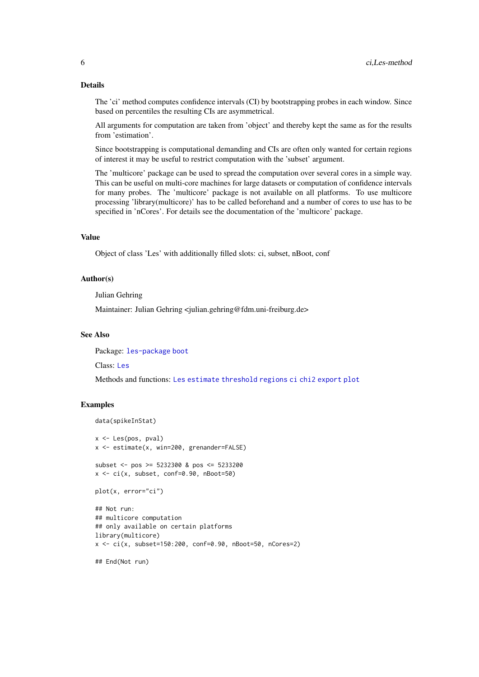The 'ci' method computes confidence intervals (CI) by bootstrapping probes in each window. Since based on percentiles the resulting CIs are asymmetrical.

All arguments for computation are taken from 'object' and thereby kept the same as for the results from 'estimation'.

Since bootstrapping is computational demanding and CIs are often only wanted for certain regions of interest it may be useful to restrict computation with the 'subset' argument.

The 'multicore' package can be used to spread the computation over several cores in a simple way. This can be useful on multi-core machines for large datasets or computation of confidence intervals for many probes. The 'multicore' package is not available on all platforms. To use multicore processing 'library(multicore)' has to be called beforehand and a number of cores to use has to be specified in 'nCores'. For details see the documentation of the 'multicore' package.

# Value

Object of class 'Les' with additionally filled slots: ci, subset, nBoot, conf

# Author(s)

Julian Gehring

Maintainer: Julian Gehring <julian.gehring@fdm.uni-freiburg.de>

# See Also

Package: [les-package](#page-1-1) [boot](#page-0-0)

Class: [Les](#page-11-1)

Methods and functions: [Les](#page-9-1) [estimate](#page-6-1) [threshold](#page-17-1) [regions](#page-14-1) [ci](#page-4-1) [chi2](#page-2-1) [export](#page-8-1) [plot](#page-12-1)

#### Examples

```
data(spikeInStat)
```

```
x \leftarrow Les(pos, pval)
x <- estimate(x, win=200, grenander=FALSE)
subset <- pos >= 5232300 & pos <= 5233200
x \leq -ci(x, subset, conf=0.90, nBoot=50)plot(x, error="ci")
## Not run:
## multicore computation
## only available on certain platforms
library(multicore)
x \leq -ci(x, subset=150:200, conf=0.90, nBoot=50, nCores=2)
```
## End(Not run)

<span id="page-5-0"></span>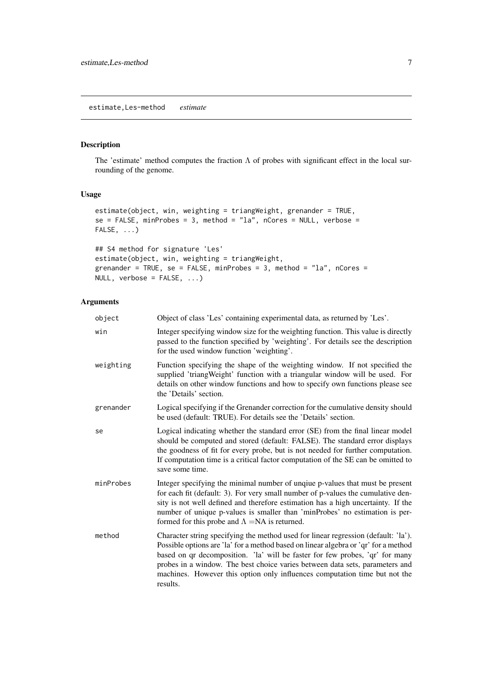<span id="page-6-0"></span>estimate,Les-method *estimate*

# <span id="page-6-1"></span>Description

The 'estimate' method computes the fraction  $\Lambda$  of probes with significant effect in the local surrounding of the genome.

# Usage

```
estimate(object, win, weighting = triangWeight, grenander = TRUE,
se = FALSE, minProbes = 3, method = "la", nCores = NULL, verbose =FALSE, ...)
```

```
## S4 method for signature 'Les'
estimate(object, win, weighting = triangWeight,
grenander = TRUE, se = FALSE, minProbes = 3, method = "la", nCores =
NULL, verbose = FALSE, ...)
```

| object    | Object of class 'Les' containing experimental data, as returned by 'Les'.                                                                                                                                                                                                                                                                                                                                                           |
|-----------|-------------------------------------------------------------------------------------------------------------------------------------------------------------------------------------------------------------------------------------------------------------------------------------------------------------------------------------------------------------------------------------------------------------------------------------|
| win       | Integer specifying window size for the weighting function. This value is directly<br>passed to the function specified by 'weighting'. For details see the description<br>for the used window function 'weighting'.                                                                                                                                                                                                                  |
| weighting | Function specifying the shape of the weighting window. If not specified the<br>supplied 'triang Weight' function with a triangular window will be used. For<br>details on other window functions and how to specify own functions please see<br>the 'Details' section.                                                                                                                                                              |
| grenander | Logical specifying if the Grenander correction for the cumulative density should<br>be used (default: TRUE). For details see the 'Details' section.                                                                                                                                                                                                                                                                                 |
| se        | Logical indicating whether the standard error (SE) from the final linear model<br>should be computed and stored (default: FALSE). The standard error displays<br>the goodness of fit for every probe, but is not needed for further computation.<br>If computation time is a critical factor computation of the SE can be omitted to<br>save some time.                                                                             |
| minProbes | Integer specifying the minimal number of unqiue p-values that must be present<br>for each fit (default: 3). For very small number of p-values the cumulative den-<br>sity is not well defined and therefore estimation has a high uncertainty. If the<br>number of unique p-values is smaller than 'minProbes' no estimation is per-<br>formed for this probe and $\Lambda = NA$ is returned.                                       |
| method    | Character string specifying the method used for linear regression (default: 'la').<br>Possible options are 'la' for a method based on linear algebra or 'qr' for a method<br>based on qr decomposition. 'la' will be faster for few probes, 'qr' for many<br>probes in a window. The best choice varies between data sets, parameters and<br>machines. However this option only influences computation time but not the<br>results. |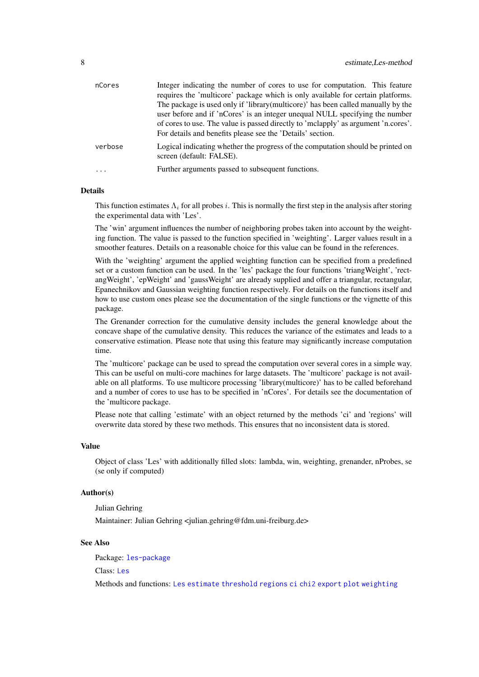<span id="page-7-0"></span>

| nCores    | Integer indicating the number of cores to use for computation. This feature                                 |
|-----------|-------------------------------------------------------------------------------------------------------------|
|           | requires the 'multicore' package which is only available for certain platforms.                             |
|           | The package is used only if 'library(multicore)' has been called manually by the                            |
|           | user before and if 'nCores' is an integer unequal NULL specifying the number                                |
|           | of cores to use. The value is passed directly to 'mclapply' as argument 'n.cores'.                          |
|           | For details and benefits please see the 'Details' section.                                                  |
| verbose   | Logical indicating whether the progress of the computation should be printed on<br>screen (default: FALSE). |
| $\ddotsc$ | Further arguments passed to subsequent functions.                                                           |
|           |                                                                                                             |

This function estimates  $\Lambda_i$  for all probes i. This is normally the first step in the analysis after storing the experimental data with 'Les'.

The 'win' argument influences the number of neighboring probes taken into account by the weighting function. The value is passed to the function specified in 'weighting'. Larger values result in a smoother features. Details on a reasonable choice for this value can be found in the references.

With the 'weighting' argument the applied weighting function can be specified from a predefined set or a custom function can be used. In the 'les' package the four functions 'triangWeight', 'rectangWeight', 'epWeight' and 'gaussWeight' are already supplied and offer a triangular, rectangular, Epanechnikov and Gaussian weighting function respectively. For details on the functions itself and how to use custom ones please see the documentation of the single functions or the vignette of this package.

The Grenander correction for the cumulative density includes the general knowledge about the concave shape of the cumulative density. This reduces the variance of the estimates and leads to a conservative estimation. Please note that using this feature may significantly increase computation time.

The 'multicore' package can be used to spread the computation over several cores in a simple way. This can be useful on multi-core machines for large datasets. The 'multicore' package is not available on all platforms. To use multicore processing 'library(multicore)' has to be called beforehand and a number of cores to use has to be specified in 'nCores'. For details see the documentation of the 'multicore package.

Please note that calling 'estimate' with an object returned by the methods 'ci' and 'regions' will overwrite data stored by these two methods. This ensures that no inconsistent data is stored.

#### Value

Object of class 'Les' with additionally filled slots: lambda, win, weighting, grenander, nProbes, se (se only if computed)

#### Author(s)

Julian Gehring Maintainer: Julian Gehring <julian.gehring@fdm.uni-freiburg.de>

# See Also

Package: [les-package](#page-1-1)

Class: [Les](#page-11-1)

Methods and functions: [Les](#page-9-1) [estimate](#page-6-1) [threshold](#page-17-1) [regions](#page-14-1) [ci](#page-4-1) [chi2](#page-2-1) [export](#page-8-1) [plot](#page-12-1) [weighting](#page-18-1)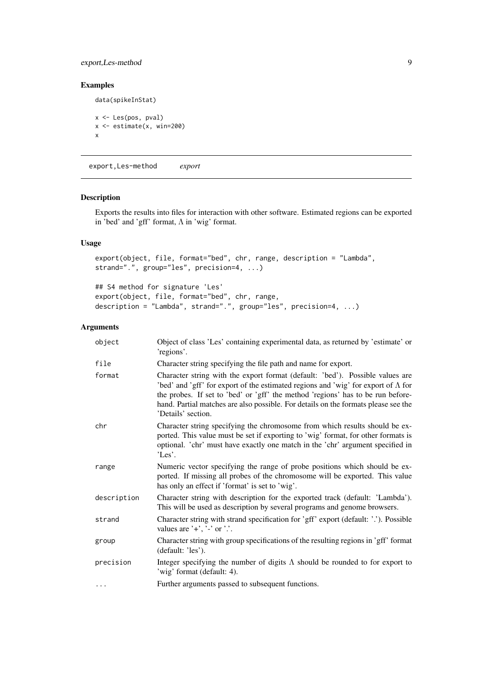# <span id="page-8-0"></span>export,Les-method 9

# Examples

```
data(spikeInStat)
x <- Les(pos, pval)
x <- estimate(x, win=200)
x
```
export,Les-method *export*

# <span id="page-8-1"></span>Description

Exports the results into files for interaction with other software. Estimated regions can be exported in 'bed' and 'gff' format, Λ in 'wig' format.

# Usage

```
export(object, file, format="bed", chr, range, description = "Lambda",
strand=".", group="les", precision=4, ...)
```
## S4 method for signature 'Les' export(object, file, format="bed", chr, range, description = "Lambda", strand=".", group="les", precision=4, ...)

| object      | Object of class 'Les' containing experimental data, as returned by 'estimate' or<br>'regions'.                                                                                                                                                                                                                                                                            |
|-------------|---------------------------------------------------------------------------------------------------------------------------------------------------------------------------------------------------------------------------------------------------------------------------------------------------------------------------------------------------------------------------|
| file        | Character string specifying the file path and name for export.                                                                                                                                                                                                                                                                                                            |
| format      | Character string with the export format (default: 'bed'). Possible values are<br>'bed' and 'gff' for export of the estimated regions and 'wig' for export of $\Lambda$ for<br>the probes. If set to 'bed' or 'gff' the method 'regions' has to be run before-<br>hand. Partial matches are also possible. For details on the formats please see the<br>'Details' section. |
| chr         | Character string specifying the chromosome from which results should be ex-<br>ported. This value must be set if exporting to 'wig' format, for other formats is<br>optional. 'chr' must have exactly one match in the 'chr' argument specified in<br>$'$ Les'.                                                                                                           |
| range       | Numeric vector specifying the range of probe positions which should be ex-<br>ported. If missing all probes of the chromosome will be exported. This value<br>has only an effect if 'format' is set to 'wig'.                                                                                                                                                             |
| description | Character string with description for the exported track (default: 'Lambda').<br>This will be used as description by several programs and genome browsers.                                                                                                                                                                                                                |
| strand      | Character string with strand specification for 'gff' export (default: '.'). Possible<br>values are $'$ +', '-' or '.'.                                                                                                                                                                                                                                                    |
| group       | Character string with group specifications of the resulting regions in 'gff' format<br>(default: 'les').                                                                                                                                                                                                                                                                  |
| precision   | Integer specifying the number of digits $\Lambda$ should be rounded to for export to<br>'wig' format (default: 4).                                                                                                                                                                                                                                                        |
| $\cdots$    | Further arguments passed to subsequent functions.                                                                                                                                                                                                                                                                                                                         |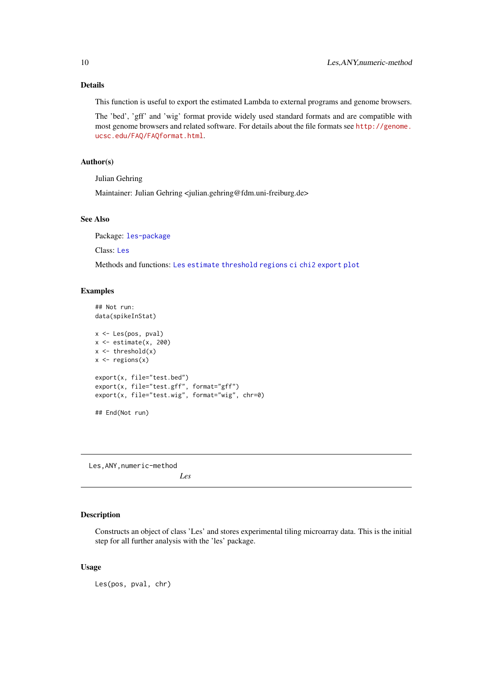<span id="page-9-0"></span>This function is useful to export the estimated Lambda to external programs and genome browsers.

The 'bed', 'gff' and 'wig' format provide widely used standard formats and are compatible with most genome browsers and related software. For details about the file formats see [http://genome.](http://genome.ucsc.edu/FAQ/FAQformat.html) [ucsc.edu/FAQ/FAQformat.html](http://genome.ucsc.edu/FAQ/FAQformat.html).

# Author(s)

Julian Gehring

Maintainer: Julian Gehring <julian.gehring@fdm.uni-freiburg.de>

# See Also

Package: [les-package](#page-1-1)

Class: [Les](#page-11-1)

Methods and functions: [Les](#page-9-1) [estimate](#page-6-1) [threshold](#page-17-1) [regions](#page-14-1) [ci](#page-4-1) [chi2](#page-2-1) [export](#page-8-1) [plot](#page-12-1)

#### Examples

```
## Not run:
data(spikeInStat)
x <- Les(pos, pval)
x \leftarrow \text{estimate}(x, 200)x \leftarrow threshold(x)x \leftarrow regions(x)
export(x, file="test.bed")
export(x, file="test.gff", format="gff")
export(x, file="test.wig", format="wig", chr=0)
## End(Not run)
```
Les,ANY,numeric-method *Les*

### <span id="page-9-1"></span>Description

Constructs an object of class 'Les' and stores experimental tiling microarray data. This is the initial step for all further analysis with the 'les' package.

# Usage

Les(pos, pval, chr)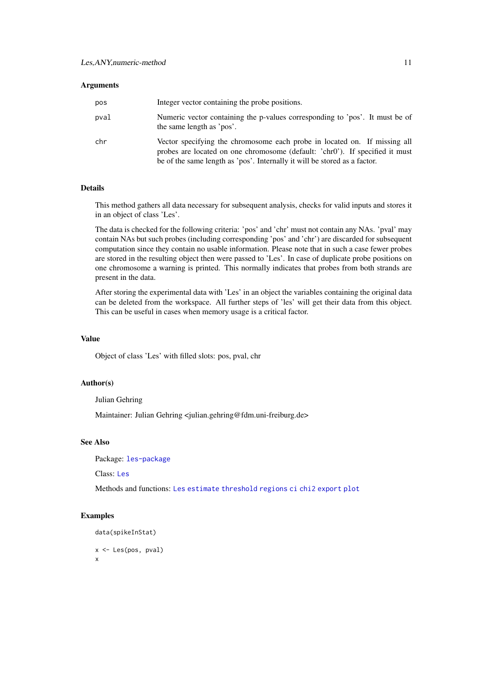#### <span id="page-10-0"></span>Arguments

| pos  | Integer vector containing the probe positions.                                                                                                                                                                                         |
|------|----------------------------------------------------------------------------------------------------------------------------------------------------------------------------------------------------------------------------------------|
| pval | Numeric vector containing the p-values corresponding to 'pos'. It must be of<br>the same length as 'pos'.                                                                                                                              |
| chr  | Vector specifying the chromosome each probe in located on. If missing all<br>probes are located on one chromosome (default: 'chr0'). If specified it must<br>be of the same length as 'pos'. Internally it will be stored as a factor. |

# Details

This method gathers all data necessary for subsequent analysis, checks for valid inputs and stores it in an object of class 'Les'.

The data is checked for the following criteria: 'pos' and 'chr' must not contain any NAs. 'pval' may contain NAs but such probes (including corresponding 'pos' and 'chr') are discarded for subsequent computation since they contain no usable information. Please note that in such a case fewer probes are stored in the resulting object then were passed to 'Les'. In case of duplicate probe positions on one chromosome a warning is printed. This normally indicates that probes from both strands are present in the data.

After storing the experimental data with 'Les' in an object the variables containing the original data can be deleted from the workspace. All further steps of 'les' will get their data from this object. This can be useful in cases when memory usage is a critical factor.

# Value

Object of class 'Les' with filled slots: pos, pval, chr

# Author(s)

Julian Gehring

Maintainer: Julian Gehring <julian.gehring@fdm.uni-freiburg.de>

#### See Also

Package: [les-package](#page-1-1)

Class: [Les](#page-11-1)

Methods and functions: [Les](#page-9-1) [estimate](#page-6-1) [threshold](#page-17-1) [regions](#page-14-1) [ci](#page-4-1) [chi2](#page-2-1) [export](#page-8-1) [plot](#page-12-1)

# Examples

```
data(spikeInStat)
x <- Les(pos, pval)
x
```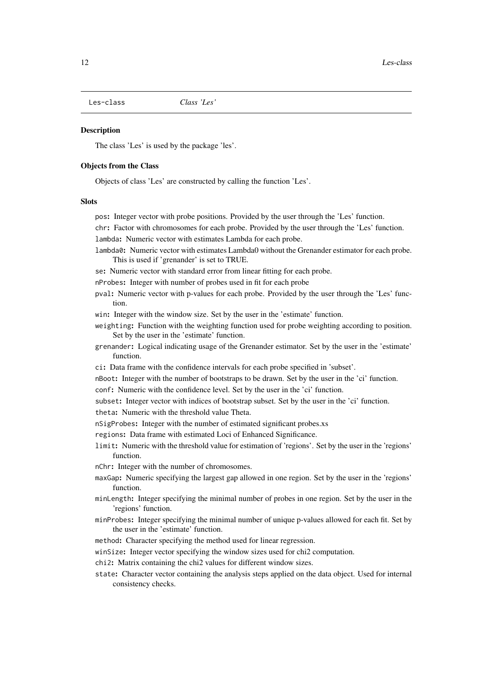<span id="page-11-1"></span><span id="page-11-0"></span>Les-class *Class 'Les'*

### Description

The class 'Les' is used by the package 'les'.

#### Objects from the Class

Objects of class 'Les' are constructed by calling the function 'Les'.

# Slots

- pos: Integer vector with probe positions. Provided by the user through the 'Les' function.
- chr: Factor with chromosomes for each probe. Provided by the user through the 'Les' function.

lambda: Numeric vector with estimates Lambda for each probe.

- lambda0: Numeric vector with estimates Lambda0 without the Grenander estimator for each probe. This is used if 'grenander' is set to TRUE.
- se: Numeric vector with standard error from linear fitting for each probe.
- nProbes: Integer with number of probes used in fit for each probe
- pval: Numeric vector with p-values for each probe. Provided by the user through the 'Les' function.
- win: Integer with the window size. Set by the user in the 'estimate' function.
- weighting: Function with the weighting function used for probe weighting according to position. Set by the user in the 'estimate' function.
- grenander: Logical indicating usage of the Grenander estimator. Set by the user in the 'estimate' function.
- ci: Data frame with the confidence intervals for each probe specified in 'subset'.
- nBoot: Integer with the number of bootstraps to be drawn. Set by the user in the 'ci' function.
- conf: Numeric with the confidence level. Set by the user in the 'ci' function.
- subset: Integer vector with indices of bootstrap subset. Set by the user in the 'ci' function.
- theta: Numeric with the threshold value Theta.
- nSigProbes: Integer with the number of estimated significant probes.xs
- regions: Data frame with estimated Loci of Enhanced Significance.
- limit: Numeric with the threshold value for estimation of 'regions'. Set by the user in the 'regions' function.
- nChr: Integer with the number of chromosomes.
- maxGap: Numeric specifying the largest gap allowed in one region. Set by the user in the 'regions' function.
- minLength: Integer specifying the minimal number of probes in one region. Set by the user in the 'regions' function.
- minProbes: Integer specifying the minimal number of unique p-values allowed for each fit. Set by the user in the 'estimate' function.
- method: Character specifying the method used for linear regression.
- winSize: Integer vector specifying the window sizes used for chi2 computation.
- chi2: Matrix containing the chi2 values for different window sizes.
- state: Character vector containing the analysis steps applied on the data object. Used for internal consistency checks.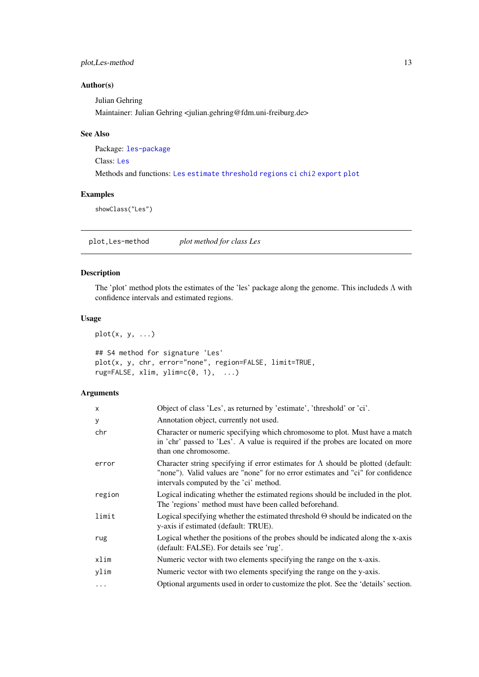#### <span id="page-12-0"></span>plot,Les-method 13

# Author(s)

Julian Gehring Maintainer: Julian Gehring <julian.gehring@fdm.uni-freiburg.de>

# See Also

Package: [les-package](#page-1-1)

Class: [Les](#page-11-1)

Methods and functions: [Les](#page-9-1) [estimate](#page-6-1) [threshold](#page-17-1) [regions](#page-14-1) [ci](#page-4-1) [chi2](#page-2-1) [export](#page-8-1) [plot](#page-12-1)

# Examples

showClass("Les")

plot,Les-method *plot method for class Les*

# <span id="page-12-1"></span>Description

The 'plot' method plots the estimates of the 'les' package along the genome. This includeds Λ with confidence intervals and estimated regions.

# Usage

 $plot(x, y, ...)$ 

```
## S4 method for signature 'Les'
plot(x, y, chr, error="none", region=FALSE, limit=TRUE,
rug=FALSE, xlim, ylim=c(0, 1), ...)
```

| X        | Object of class 'Les', as returned by 'estimate', 'threshold' or 'ci'.                                                                                                                                                |
|----------|-----------------------------------------------------------------------------------------------------------------------------------------------------------------------------------------------------------------------|
| У        | Annotation object, currently not used.                                                                                                                                                                                |
| chr      | Character or numeric specifying which chromosome to plot. Must have a match<br>in 'chr' passed to 'Les'. A value is required if the probes are located on more<br>than one chromosome.                                |
| error    | Character string specifying if error estimates for $\Lambda$ should be plotted (default:<br>"none"). Valid values are "none" for no error estimates and "ci" for confidence<br>intervals computed by the 'ci' method. |
| region   | Logical indicating whether the estimated regions should be included in the plot.<br>The 'regions' method must have been called beforehand.                                                                            |
| limit    | Logical specifying whether the estimated threshold $\Theta$ should be indicated on the<br>y-axis if estimated (default: TRUE).                                                                                        |
| rug      | Logical whether the positions of the probes should be indicated along the x-axis<br>(default: FALSE). For details see 'rug'.                                                                                          |
| xlim     | Numeric vector with two elements specifying the range on the x-axis.                                                                                                                                                  |
| ylim     | Numeric vector with two elements specifying the range on the y-axis.                                                                                                                                                  |
| $\cdots$ | Optional arguments used in order to customize the plot. See the 'details' section.                                                                                                                                    |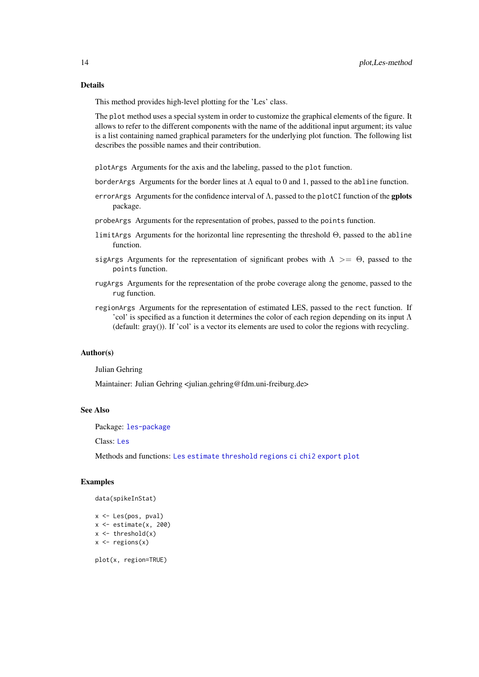This method provides high-level plotting for the 'Les' class.

The plot method uses a special system in order to customize the graphical elements of the figure. It allows to refer to the different components with the name of the additional input argument; its value is a list containing named graphical parameters for the underlying plot function. The following list describes the possible names and their contribution.

plotArgs Arguments for the axis and the labeling, passed to the plot function.

- borderArgs Arguments for the border lines at  $\Lambda$  equal to 0 and 1, passed to the abline function.
- error Args Arguments for the confidence interval of  $\Lambda$ , passed to the plotCI function of the gplots package.
- probeArgs Arguments for the representation of probes, passed to the points function.
- limitArgs Arguments for the horizontal line representing the threshold Θ, passed to the abline function.
- sigArgs Arguments for the representation of significant probes with  $\Lambda > = \Theta$ , passed to the points function.
- rugArgs Arguments for the representation of the probe coverage along the genome, passed to the rug function.
- regionArgs Arguments for the representation of estimated LES, passed to the rect function. If 'col' is specified as a function it determines the color of each region depending on its input  $\Lambda$ (default: gray()). If 'col' is a vector its elements are used to color the regions with recycling.

#### Author(s)

Julian Gehring

Maintainer: Julian Gehring <julian.gehring@fdm.uni-freiburg.de>

#### See Also

Package: [les-package](#page-1-1)

Class: [Les](#page-11-1)

Methods and functions: [Les](#page-9-1) [estimate](#page-6-1) [threshold](#page-17-1) [regions](#page-14-1) [ci](#page-4-1) [chi2](#page-2-1) [export](#page-8-1) [plot](#page-12-1)

# Examples

```
data(spikeInStat)
```

```
x <- Les(pos, pval)
x \leftarrow \text{estimate}(x, 200)x \leftarrow threshold(x)x \leftarrow regions(x)
```
plot(x, region=TRUE)

<span id="page-13-0"></span>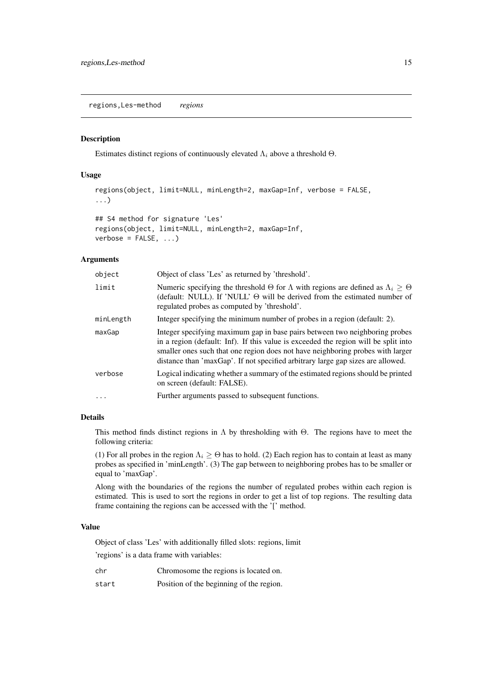<span id="page-14-0"></span>regions,Les-method *regions*

 $verbose = FALSE, ...)$ 

### <span id="page-14-1"></span>Description

Estimates distinct regions of continuously elevated  $\Lambda_i$  above a threshold  $\Theta$ .

# Usage

```
regions(object, limit=NULL, minLength=2, maxGap=Inf, verbose = FALSE,
...)
## S4 method for signature 'Les'
regions(object, limit=NULL, minLength=2, maxGap=Inf,
```
### Arguments

| object    | Object of class 'Les' as returned by 'threshold'.                                                                                                                                                                                                                                                                                       |
|-----------|-----------------------------------------------------------------------------------------------------------------------------------------------------------------------------------------------------------------------------------------------------------------------------------------------------------------------------------------|
| limit     | Numeric specifying the threshold $\Theta$ for $\Lambda$ with regions are defined as $\Lambda_i \geq \Theta$<br>(default: NULL). If 'NULL' $\Theta$ will be derived from the estimated number of<br>regulated probes as computed by 'threshold'.                                                                                         |
| minLength | Integer specifying the minimum number of probes in a region (default: 2).                                                                                                                                                                                                                                                               |
| maxGap    | Integer specifying maximum gap in base pairs between two neighboring probes<br>in a region (default: Inf). If this value is exceeded the region will be split into<br>smaller ones such that one region does not have neighboring probes with larger<br>distance than 'maxGap'. If not specified arbitrary large gap sizes are allowed. |
| verbose   | Logical indicating whether a summary of the estimated regions should be printed<br>on screen (default: FALSE).                                                                                                                                                                                                                          |
| $\cdots$  | Further arguments passed to subsequent functions.                                                                                                                                                                                                                                                                                       |

# Details

This method finds distinct regions in  $\Lambda$  by thresholding with  $\Theta$ . The regions have to meet the following criteria:

(1) For all probes in the region  $\Lambda_i \geq \Theta$  has to hold. (2) Each region has to contain at least as many probes as specified in 'minLength'. (3) The gap between to neighboring probes has to be smaller or equal to 'maxGap'.

Along with the boundaries of the regions the number of regulated probes within each region is estimated. This is used to sort the regions in order to get a list of top regions. The resulting data frame containing the regions can be accessed with the '[' method.

# Value

Object of class 'Les' with additionally filled slots: regions, limit

'regions' is a data frame with variables:

|  | Chromosome the regions is located on. |
|--|---------------------------------------|

start Position of the beginning of the region.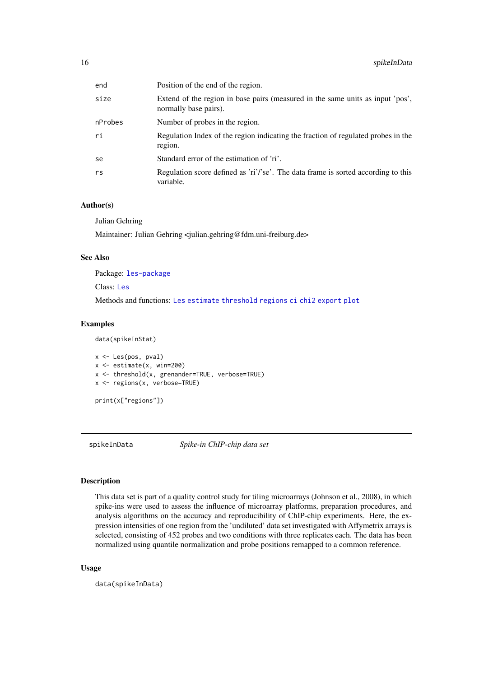<span id="page-15-0"></span>

| end     | Position of the end of the region.                                                                      |
|---------|---------------------------------------------------------------------------------------------------------|
| size    | Extend of the region in base pairs (measured in the same units as input 'pos',<br>normally base pairs). |
| nProbes | Number of probes in the region.                                                                         |
| ri      | Regulation Index of the region indicating the fraction of regulated probes in the<br>region.            |
| se      | Standard error of the estimation of 'ri'.                                                               |
| rs      | Regulation score defined as 'ri'/'se'. The data frame is sorted according to this<br>variable.          |

#### Author(s)

Julian Gehring

Maintainer: Julian Gehring <julian.gehring@fdm.uni-freiburg.de>

# See Also

Package: [les-package](#page-1-1)

Class: [Les](#page-11-1)

Methods and functions: [Les](#page-9-1) [estimate](#page-6-1) [threshold](#page-17-1) [regions](#page-14-1) [ci](#page-4-1) [chi2](#page-2-1) [export](#page-8-1) [plot](#page-12-1)

# Examples

data(spikeInStat)

```
x <- Les(pos, pval)
x \le - estimate(x, win=200)
x <- threshold(x, grenander=TRUE, verbose=TRUE)
x <- regions(x, verbose=TRUE)
```
print(x["regions"])

spikeInData *Spike-in ChIP-chip data set*

# Description

This data set is part of a quality control study for tiling microarrays (Johnson et al., 2008), in which spike-ins were used to assess the influence of microarray platforms, preparation procedures, and analysis algorithms on the accuracy and reproducibility of ChIP-chip experiments. Here, the expression intensities of one region from the 'undiluted' data set investigated with Affymetrix arrays is selected, consisting of 452 probes and two conditions with three replicates each. The data has been normalized using quantile normalization and probe positions remapped to a common reference.

# Usage

data(spikeInData)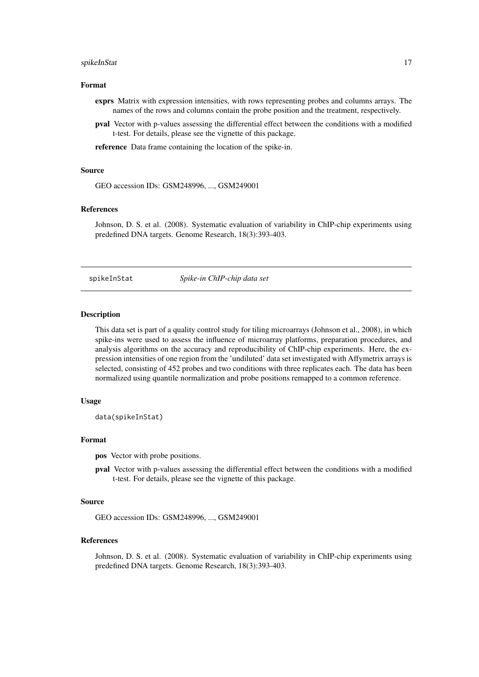#### <span id="page-16-0"></span>spikeInStat 17

#### Format

- exprs Matrix with expression intensities, with rows representing probes and columns arrays. The names of the rows and columns contain the probe position and the treatment, respectively.
- pval Vector with p-values assessing the differential effect between the conditions with a modified t-test. For details, please see the vignette of this package.

reference Data frame containing the location of the spike-in.

## Source

GEO accession IDs: GSM248996, ..., GSM249001

# References

Johnson, D. S. et al. (2008). Systematic evaluation of variability in ChIP-chip experiments using predefined DNA targets. Genome Research, 18(3):393-403.

spikeInStat *Spike-in ChIP-chip data set*

# Description

This data set is part of a quality control study for tiling microarrays (Johnson et al., 2008), in which spike-ins were used to assess the influence of microarray platforms, preparation procedures, and analysis algorithms on the accuracy and reproducibility of ChIP-chip experiments. Here, the expression intensities of one region from the 'undiluted' data set investigated with Affymetrix arrays is selected, consisting of 452 probes and two conditions with three replicates each. The data has been normalized using quantile normalization and probe positions remapped to a common reference.

#### Usage

data(spikeInStat)

#### Format

pos Vector with probe positions.

pval Vector with p-values assessing the differential effect between the conditions with a modified t-test. For details, please see the vignette of this package.

#### Source

GEO accession IDs: GSM248996, ..., GSM249001

# References

Johnson, D. S. et al. (2008). Systematic evaluation of variability in ChIP-chip experiments using predefined DNA targets. Genome Research, 18(3):393-403.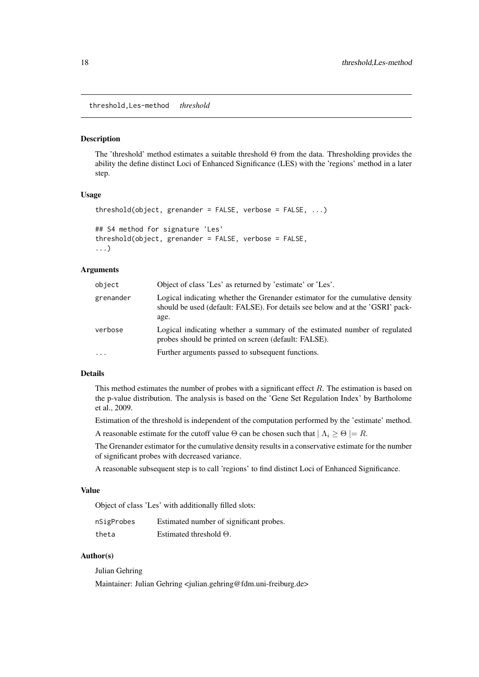<span id="page-17-0"></span>threshold,Les-method *threshold*

#### <span id="page-17-1"></span>Description

The 'threshold' method estimates a suitable threshold Θ from the data. Thresholding provides the ability the define distinct Loci of Enhanced Significance (LES) with the 'regions' method in a later step.

# Usage

```
threshold(object, grenander = FALSE, verbose = FALSE, ...)
## S4 method for signature 'Les'
threshold(object, grenander = FALSE, verbose = FALSE,
...)
```
#### Arguments

| object    | Object of class 'Les' as returned by 'estimate' or 'Les'.                                                                                                               |
|-----------|-------------------------------------------------------------------------------------------------------------------------------------------------------------------------|
| grenander | Logical indicating whether the Grenander estimator for the cumulative density<br>should be used (default: FALSE). For details see below and at the 'GSRI' pack-<br>age. |
| verbose   | Logical indicating whether a summary of the estimated number of regulated<br>probes should be printed on screen (default: FALSE).                                       |
| $\ddotsc$ | Further arguments passed to subsequent functions.                                                                                                                       |

# Details

This method estimates the number of probes with a significant effect  $R$ . The estimation is based on the p-value distribution. The analysis is based on the 'Gene Set Regulation Index' by Bartholome et al., 2009.

Estimation of the threshold is independent of the computation performed by the 'estimate' method.

A reasonable estimate for the cutoff value  $\Theta$  can be chosen such that  $| \Lambda_i \geq \Theta | = R$ .

The Grenander estimator for the cumulative density results in a conservative estimate for the number of significant probes with decreased variance.

A reasonable subsequent step is to call 'regions' to find distinct Loci of Enhanced Significance.

# Value

Object of class 'Les' with additionally filled slots:

| nSigProbes | Estimated number of significant probes. |
|------------|-----------------------------------------|
| theta      | Estimated threshold $\Theta$ .          |

#### Author(s)

Julian Gehring

Maintainer: Julian Gehring <julian.gehring@fdm.uni-freiburg.de>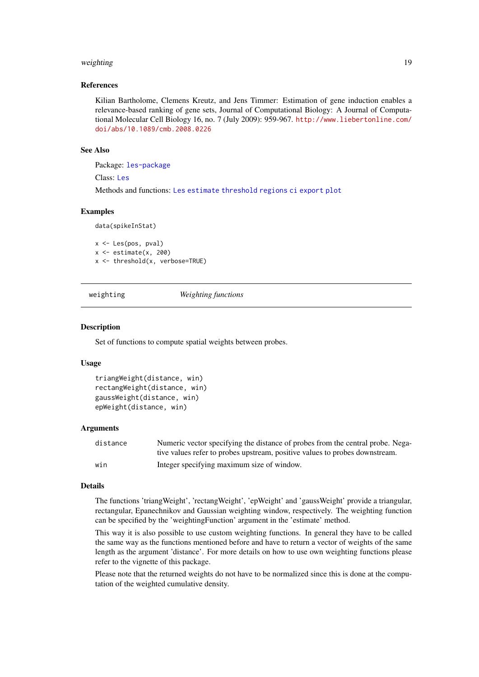#### <span id="page-18-0"></span>weighting the contract of the contract of the contract of the contract of the contract of the contract of the contract of the contract of the contract of the contract of the contract of the contract of the contract of the

#### References

Kilian Bartholome, Clemens Kreutz, and Jens Timmer: Estimation of gene induction enables a relevance-based ranking of gene sets, Journal of Computational Biology: A Journal of Computational Molecular Cell Biology 16, no. 7 (July 2009): 959-967. [http://www.liebertonline.com/](http://www.liebertonline.com/doi/abs/10.1089/cmb.2008.0226) [doi/abs/10.1089/cmb.2008.0226](http://www.liebertonline.com/doi/abs/10.1089/cmb.2008.0226)

#### See Also

Package: [les-package](#page-1-1)

Class: [Les](#page-11-1)

Methods and functions: [Les](#page-9-1) [estimate](#page-6-1) [threshold](#page-17-1) [regions](#page-14-1) [ci](#page-4-1) [export](#page-8-1) [plot](#page-12-1)

#### Examples

data(spikeInStat)

```
x <- Les(pos, pval)
x \le - estimate(x, 200)
x <- threshold(x, verbose=TRUE)
```
<span id="page-18-1"></span>weighting *Weighting functions*

#### Description

Set of functions to compute spatial weights between probes.

#### Usage

```
triangWeight(distance, win)
rectangWeight(distance, win)
gaussWeight(distance, win)
epWeight(distance, win)
```
#### Arguments

| distance | Numeric vector specifying the distance of probes from the central probe. Nega- |
|----------|--------------------------------------------------------------------------------|
|          | tive values refer to probes upstream, positive values to probes downstream.    |
| win      | Integer specifying maximum size of window.                                     |

#### Details

The functions 'triangWeight', 'rectangWeight', 'epWeight' and 'gaussWeight' provide a triangular, rectangular, Epanechnikov and Gaussian weighting window, respectively. The weighting function can be specified by the 'weightingFunction' argument in the 'estimate' method.

This way it is also possible to use custom weighting functions. In general they have to be called the same way as the functions mentioned before and have to return a vector of weights of the same length as the argument 'distance'. For more details on how to use own weighting functions please refer to the vignette of this package.

Please note that the returned weights do not have to be normalized since this is done at the computation of the weighted cumulative density.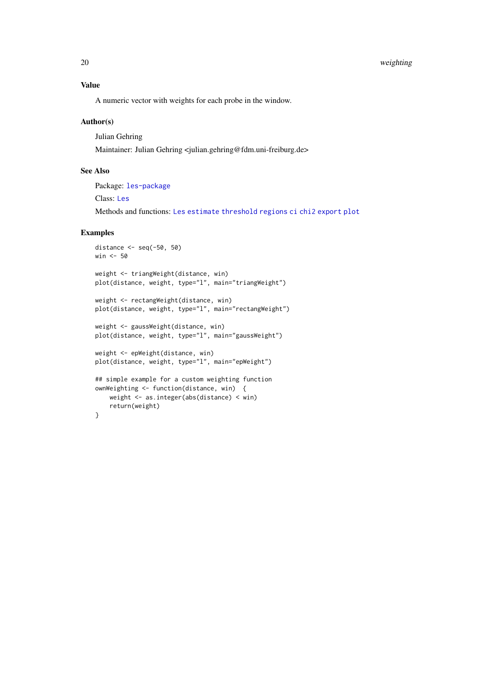#### <span id="page-19-0"></span>20 weighting the contract of the contract of the contract of the contract of the contract of the contract of the contract of the contract of the contract of the contract of the contract of the contract of the contract of t

# Value

A numeric vector with weights for each probe in the window.

# Author(s)

Julian Gehring Maintainer: Julian Gehring <julian.gehring@fdm.uni-freiburg.de>

# See Also

Package: [les-package](#page-1-1)

Class: [Les](#page-11-1)

Methods and functions: [Les](#page-9-1) [estimate](#page-6-1) [threshold](#page-17-1) [regions](#page-14-1) [ci](#page-4-1) [chi2](#page-2-1) [export](#page-8-1) [plot](#page-12-1)

# Examples

```
distance <- seq(-50, 50)
win <- 50
weight <- triangWeight(distance, win)
plot(distance, weight, type="l", main="triangWeight")
weight <- rectangWeight(distance, win)
plot(distance, weight, type="l", main="rectangWeight")
weight <- gaussWeight(distance, win)
plot(distance, weight, type="l", main="gaussWeight")
weight <- epWeight(distance, win)
plot(distance, weight, type="l", main="epWeight")
## simple example for a custom weighting function
ownWeighting <- function(distance, win) {
    weight <- as.integer(abs(distance) < win)
    return(weight)
}
```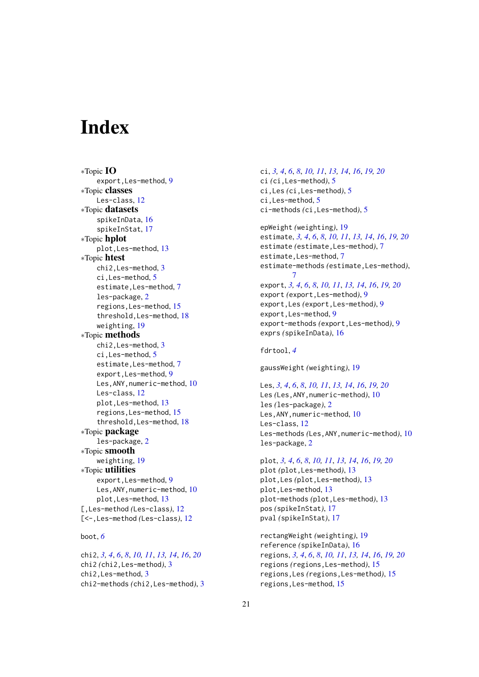# <span id="page-20-0"></span>Index

∗Topic IO export,Les-method, [9](#page-8-0) ∗Topic classes Les-class, [12](#page-11-0) ∗Topic datasets spikeInData, [16](#page-15-0) spikeInStat, [17](#page-16-0) ∗Topic hplot plot,Les-method, [13](#page-12-0) ∗Topic htest chi2,Les-method, [3](#page-2-0) ci,Les-method, [5](#page-4-0) estimate,Les-method, [7](#page-6-0) les-package, [2](#page-1-0) regions,Les-method, [15](#page-14-0) threshold,Les-method, [18](#page-17-0) weighting, [19](#page-18-0) ∗Topic methods chi2,Les-method, [3](#page-2-0) ci,Les-method, [5](#page-4-0) estimate,Les-method, [7](#page-6-0) export,Les-method, [9](#page-8-0) Les, ANY, numeric-method, [10](#page-9-0) Les-class, [12](#page-11-0) plot,Les-method, [13](#page-12-0) regions,Les-method, [15](#page-14-0) threshold,Les-method, [18](#page-17-0) ∗Topic package les-package, [2](#page-1-0) ∗Topic smooth weighting, [19](#page-18-0) ∗Topic utilities export,Les-method, [9](#page-8-0) Les, ANY, numeric-method, [10](#page-9-0) plot,Les-method, [13](#page-12-0) [,Les-method *(*Les-class*)*, [12](#page-11-0) [<-,Les-method *(*Les-class*)*, [12](#page-11-0)

# boot, *[6](#page-5-0)*

chi2, *[3,](#page-2-0) [4](#page-3-0)*, *[6](#page-5-0)*, *[8](#page-7-0)*, *[10,](#page-9-0) [11](#page-10-0)*, *[13,](#page-12-0) [14](#page-13-0)*, *[16](#page-15-0)*, *[20](#page-19-0)* chi2 *(*chi2,Les-method*)*, [3](#page-2-0) chi2,Les-method, [3](#page-2-0) chi2-methods *(*chi2,Les-method*)*, [3](#page-2-0) ci, *[3,](#page-2-0) [4](#page-3-0)*, *[6](#page-5-0)*, *[8](#page-7-0)*, *[10,](#page-9-0) [11](#page-10-0)*, *[13,](#page-12-0) [14](#page-13-0)*, *[16](#page-15-0)*, *[19,](#page-18-0) [20](#page-19-0)* ci *(*ci,Les-method*)*, [5](#page-4-0) ci,Les *(*ci,Les-method*)*, [5](#page-4-0) ci,Les-method, [5](#page-4-0) ci-methods *(*ci,Les-method*)*, [5](#page-4-0)

epWeight *(*weighting*)*, [19](#page-18-0) estimate, *[3,](#page-2-0) [4](#page-3-0)*, *[6](#page-5-0)*, *[8](#page-7-0)*, *[10,](#page-9-0) [11](#page-10-0)*, *[13,](#page-12-0) [14](#page-13-0)*, *[16](#page-15-0)*, *[19,](#page-18-0) [20](#page-19-0)* estimate *(*estimate,Les-method*)*, [7](#page-6-0) estimate,Les-method, [7](#page-6-0) estimate-methods *(*estimate,Les-method*)*, [7](#page-6-0) export, *[3,](#page-2-0) [4](#page-3-0)*, *[6](#page-5-0)*, *[8](#page-7-0)*, *[10,](#page-9-0) [11](#page-10-0)*, *[13,](#page-12-0) [14](#page-13-0)*, *[16](#page-15-0)*, *[19,](#page-18-0) [20](#page-19-0)* export *(*export,Les-method*)*, [9](#page-8-0) export,Les *(*export,Les-method*)*, [9](#page-8-0) export,Les-method, [9](#page-8-0) export-methods *(*export,Les-method*)*, [9](#page-8-0) exprs *(*spikeInData*)*, [16](#page-15-0)

fdrtool, *[4](#page-3-0)*

gaussWeight *(*weighting*)*, [19](#page-18-0)

Les, *[3,](#page-2-0) [4](#page-3-0)*, *[6](#page-5-0)*, *[8](#page-7-0)*, *[10,](#page-9-0) [11](#page-10-0)*, *[13,](#page-12-0) [14](#page-13-0)*, *[16](#page-15-0)*, *[19,](#page-18-0) [20](#page-19-0)* Les *(*Les,ANY,numeric-method*)*, [10](#page-9-0) les *(*les-package*)*, [2](#page-1-0) Les, ANY, numeric-method, [10](#page-9-0) Les-class, [12](#page-11-0) Les-methods *(*Les,ANY,numeric-method*)*, [10](#page-9-0) les-package, [2](#page-1-0)

plot, *[3,](#page-2-0) [4](#page-3-0)*, *[6](#page-5-0)*, *[8](#page-7-0)*, *[10,](#page-9-0) [11](#page-10-0)*, *[13,](#page-12-0) [14](#page-13-0)*, *[16](#page-15-0)*, *[19,](#page-18-0) [20](#page-19-0)* plot *(*plot,Les-method*)*, [13](#page-12-0) plot,Les *(*plot,Les-method*)*, [13](#page-12-0) plot,Les-method, [13](#page-12-0) plot-methods *(*plot,Les-method*)*, [13](#page-12-0) pos *(*spikeInStat*)*, [17](#page-16-0) pval *(*spikeInStat*)*, [17](#page-16-0)

rectangWeight *(*weighting*)*, [19](#page-18-0) reference *(*spikeInData*)*, [16](#page-15-0) regions, *[3,](#page-2-0) [4](#page-3-0)*, *[6](#page-5-0)*, *[8](#page-7-0)*, *[10,](#page-9-0) [11](#page-10-0)*, *[13,](#page-12-0) [14](#page-13-0)*, *[16](#page-15-0)*, *[19,](#page-18-0) [20](#page-19-0)* regions *(*regions,Les-method*)*, [15](#page-14-0) regions,Les *(*regions,Les-method*)*, [15](#page-14-0) regions,Les-method, [15](#page-14-0)